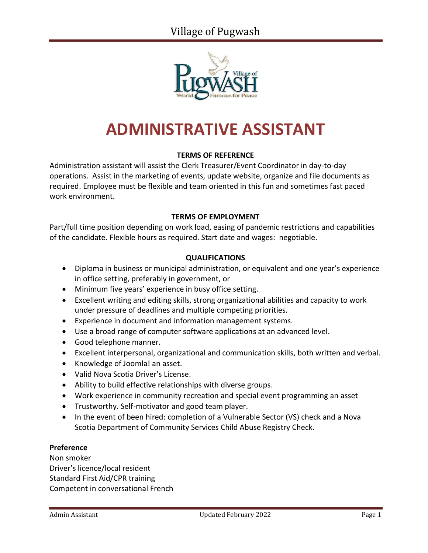

# **ADMINISTRATIVE ASSISTANT**

# **TERMS OF REFERENCE**

Administration assistant will assist the Clerk Treasurer/Event Coordinator in day-to-day operations. Assist in the marketing of events, update website, organize and file documents as required. Employee must be flexible and team oriented in this fun and sometimes fast paced work environment.

## **TERMS OF EMPLOYMENT**

Part/full time position depending on work load, easing of pandemic restrictions and capabilities of the candidate. Flexible hours as required. Start date and wages: negotiable.

## **QUALIFICATIONS**

- Diploma in business or municipal administration, or equivalent and one year's experience in office setting, preferably in government, or
- Minimum five years' experience in busy office setting.
- Excellent writing and editing skills, strong organizational abilities and capacity to work under pressure of deadlines and multiple competing priorities.
- Experience in document and information management systems.
- Use a broad range of computer software applications at an advanced level.
- Good telephone manner.
- Excellent interpersonal, organizational and communication skills, both written and verbal.
- Knowledge of Joomla! an asset.
- Valid Nova Scotia Driver's License.
- Ability to build effective relationships with diverse groups.
- Work experience in community recreation and special event programming an asset
- Trustworthy. Self-motivator and good team player.
- In the event of been hired: completion of a Vulnerable Sector (VS) check and a Nova Scotia Department of Community Services Child Abuse Registry Check.

#### **Preference**

Non smoker Driver's licence/local resident Standard First Aid/CPR training Competent in conversational French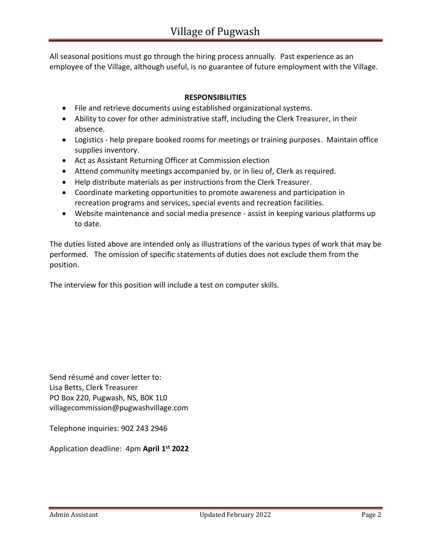All seasonal positions must go through the hiring process annually. Past experience as an employee of the Village, although useful, is no guarantee of future employment with the Village.

# **RESPONSIBILITIES**

- File and retrieve documents using established organizational systems.
- Ability to cover for other administrative staff, including the Clerk Treasurer, in their absence.
- Logistics help prepare booked rooms for meetings or training purposes. Maintain office supplies inventory.
- Act as Assistant Returning Officer at Commission election
- Attend community meetings accompanied by, or in lieu of, Clerk as required.
- Help distribute materials as per instructions from the Clerk Treasurer.
- Coordinate marketing opportunities to promote awareness and participation in recreation programs and services, special events and recreation facilities.
- Website maintenance and social media presence assist in keeping various platforms up to date.

The duties listed above are intended only as illustrations of the various types of work that may be performed. The omission of specific statements of duties does not exclude them from the position.

The interview for this position will include a test on computer skills.

Send résumé and cover letter to: Lisa Betts, Clerk Treasurer PO Box 220, Pugwash, NS, B0K 1L0 [villagecommission@pugwashvillage.com](mailto:villagecommission@pugwashvillage.com)

Telephone inquiries: 902 243 2946

Application deadline: 4pm **April 1 st 2022**